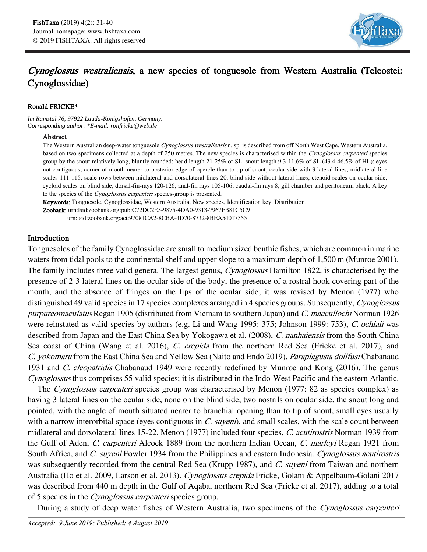

# Cynoglossus westraliensis, a new species of tonguesole from Western Australia (Teleostei: Cynoglossidae)

### Ronald FRICKE\*

*Im Ramstal 76, 97922 Lauda-Königshofen, Germany. Corresponding author: \*E-mail: ronfricke@web.de*

### Abstract

The Western Australian deep-water tonguesole Cynoglossus westraliensis n. sp. is described from off North West Cape, Western Australia, based on two specimens collected at a depth of 250 metres. The new species is characterised within the Cynoglossus carpenteri species group by the snout relatively long, bluntly rounded; head length 21-25% of SL, snout length 9.3-11.6% of SL (43.4-46.5% of HL); eyes not contiguous; corner of mouth nearer to posterior edge of opercle than to tip of snout; ocular side with 3 lateral lines, midlateral-line scales 111-115, scale rows between midlateral and dorsolateral lines 20, blind side without lateral lines; ctenoid scales on ocular side, cycloid scales on blind side; dorsal-fin-rays 120-126; anal-fin rays 105-106; caudal-fin rays 8; gill chamber and peritoneum black. A key to the species of the Cynoglossus carpenteri species-group is presented.

Keywords: Tonguesole, Cynoglossidae, Western Australia, New species, Identification key, Distribution.

Zoobank: urn:lsid:zoobank.org:pub:C72DC2E5-9875-4DA0-9313-7967FB81C5C9

urn:lsid:zoobank.org:act:97081CA2-8CBA-4D70-8732-8BEA54017555

## Introduction

Tonguesoles of the family Cynoglossidae are small to medium sized benthic fishes, which are common in marine waters from tidal pools to the continental shelf and upper slope to a maximum depth of 1,500 m (Munroe 2001). The family includes three valid genera. The largest genus, *Cynoglossus* Hamilton 1822, is characterised by the presence of 2-3 lateral lines on the ocular side of the body, the presence of a rostral hook covering part of the mouth, and the absence of fringes on the lips of the ocular side; it was revised by Menon (1977) who distinguished 49 valid species in 17 species complexes arranged in 4 species groups. Subsequently, Cynoglossus purpureomaculatus Regan 1905 (distributed from Vietnam to southern Japan) and C. maccullochi Norman 1926 were reinstated as valid species by authors (e.g. Li and Wang 1995: 375; Johnson 1999: 753), C. ochiaii was described from Japan and the East China Sea by Yokogawa et al. (2008), C. nanhaiensis from the South China Sea coast of China (Wang et al. 2016), C. crepida from the northern Red Sea (Fricke et al. 2017), and C. yokomaru from the East China Sea and Yellow Sea (Naito and Endo 2019). Paraplagusia dollfusi Chabanaud 1931 and *C. cleopatridis* Chabanaud 1949 were recently redefined by Munroe and Kong (2016). The genus Cynoglossus thus comprises 55 valid species; it is distributed in the Indo-West Pacific and the eastern Atlantic.

The *Cynoglossus carpenteri* species group was characterised by Menon (1977: 82 as species complex) as having 3 lateral lines on the ocular side, none on the blind side, two nostrils on ocular side, the snout long and pointed, with the angle of mouth situated nearer to branchial opening than to tip of snout, small eyes usually with a narrow interorbital space (eyes contiguous in  $C$ . suyeni), and small scales, with the scale count between midlateral and dorsolateral lines 15-22. Menon (1977) included four species, C. acutirostris Norman 1939 from the Gulf of Aden, C. carpenteri Alcock 1889 from the northern Indian Ocean, C. marleyi Regan 1921 from South Africa, and C. suyeni Fowler 1934 from the Philippines and eastern Indonesia. Cynoglossus acutirostris was subsequently recorded from the central Red Sea (Krupp 1987), and C. suyeni from Taiwan and northern Australia (Ho et al. 2009, Larson et al. 2013). Cynoglossus crepida Fricke, Golani & Appelbaum-Golani 2017 was described from 440 m depth in the Gulf of Aqaba, northern Red Sea (Fricke et al. 2017), adding to a total of 5 species in the Cynoglossus carpenteri species group.

During a study of deep water fishes of Western Australia, two specimens of the Cynoglossus carpenteri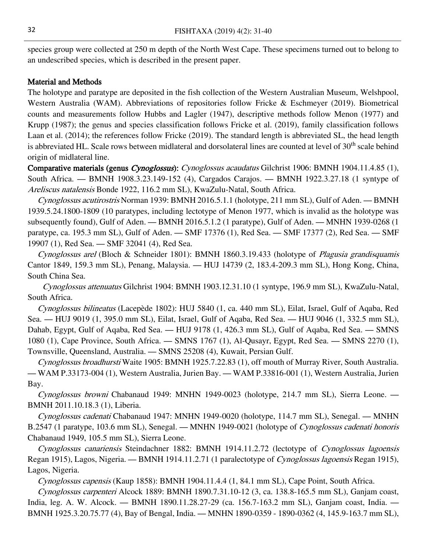species group were collected at 250 m depth of the North West Cape. These specimens turned out to belong to an undescribed species, which is described in the present paper.

### Material and Methods

The holotype and paratype are deposited in the fish collection of the Western Australian Museum, Welshpool, Western Australia (WAM). Abbreviations of repositories follow Fricke & Eschmeyer (2019). Biometrical counts and measurements follow Hubbs and Lagler (1947), descriptive methods follow Menon (1977) and Krupp (1987); the genus and species classification follows Fricke et al. (2019), family classification follows Laan et al. (2014); the references follow Fricke (2019). The standard length is abbreviated SL, the head length is abbreviated HL. Scale rows between midlateral and dorsolateral lines are counted at level of  $30<sup>th</sup>$  scale behind origin of midlateral line.

Comparative materials (genus Cynoglossus): Cynoglossus acaudatus Gilchrist 1906: BMNH 1904.11.4.85 (1), South Africa. — BMNH 1908.3.23.149-152 (4), Cargados Carajos. — BMNH 1922.3.27.18 (1 syntype of Areliscus natalensis Bonde 1922, 116.2 mm SL), KwaZulu-Natal, South Africa.

Cynoglossus acutirostris Norman 1939: BMNH 2016.5.1.1 (holotype, 211 mm SL), Gulf of Aden. — BMNH 1939.5.24.1800-1809 (10 paratypes, including lectotype of Menon 1977, which is invalid as the holotype was subsequently found), Gulf of Aden. — BMNH 2016.5.1.2 (1 paratype), Gulf of Aden. — MNHN 1939-0268 (1 paratype, ca. 195.3 mm SL), Gulf of Aden. — SMF 17376 (1), Red Sea. — SMF 17377 (2), Red Sea. — SMF 19907 (1), Red Sea. — SMF 32041 (4), Red Sea.

Cynoglossus arel (Bloch & Schneider 1801): BMNH 1860.3.19.433 (holotype of Plagusia grandisquamis Cantor 1849, 159.3 mm SL), Penang, Malaysia. — HUJ 14739 (2, 183.4-209.3 mm SL), Hong Kong, China, South China Sea.

Cynoglossus attenuatus Gilchrist 1904: BMNH 1903.12.31.10 (1 syntype, 196.9 mm SL), KwaZulu-Natal, South Africa.

Cynoglossus bilineatus (Lacepède 1802): HUJ 5840 (1, ca. 440 mm SL), Eilat, Israel, Gulf of Aqaba, Red Sea. — HUJ 9019 (1, 395.0 mm SL), Eilat, Israel, Gulf of Aqaba, Red Sea. — HUJ 9046 (1, 332.5 mm SL), Dahab, Egypt, Gulf of Aqaba, Red Sea. — HUJ 9178 (1, 426.3 mm SL), Gulf of Aqaba, Red Sea. — SMNS 1080 (1), Cape Province, South Africa. — SMNS 1767 (1), Al-Qusayr, Egypt, Red Sea. — SMNS 2270 (1), Townsville, Queensland, Australia. — SMNS 25208 (4), Kuwait, Persian Gulf.

Cynoglossus broadhursti Waite 1905: BMNH 1925.7.22.83 (1), off mouth of Murray River, South Australia. — WAM P.33173-004 (1), Western Australia, Jurien Bay. — WAM P.33816-001 (1), Western Australia, Jurien Bay.

Cynoglossus browni Chabanaud 1949: MNHN 1949-0023 (holotype, 214.7 mm SL), Sierra Leone. — BMNH 2011.10.18.3 (1), Liberia.

Cynoglossus cadenati Chabanaud 1947: MNHN 1949-0020 (holotype, 114.7 mm SL), Senegal. — MNHN B.2547 (1 paratype, 103.6 mm SL), Senegal. — MNHN 1949-0021 (holotype of *Cynoglossus cadenati honoris* Chabanaud 1949, 105.5 mm SL), Sierra Leone.

Cynoglossus canariensis Steindachner 1882: BMNH 1914.11.2.72 (lectotype of Cynoglossus lagoensis Regan 1915), Lagos, Nigeria. — BMNH 1914.11.2.71 (1 paralectotype of Cynoglossus lagoensis Regan 1915), Lagos, Nigeria.

Cynoglossus capensis (Kaup 1858): BMNH 1904.11.4.4 (1, 84.1 mm SL), Cape Point, South Africa.

Cynoglossus carpenteri Alcock 1889: BMNH 1890.7.31.10-12 (3, ca. 138.8-165.5 mm SL), Ganjam coast, India, leg. A. W. Alcock. — BMNH 1890.11.28.27-29 (ca. 156.7-163.2 mm SL), Ganjam coast, India. — BMNH 1925.3.20.75.77 (4), Bay of Bengal, India. — MNHN 1890-0359 - 1890-0362 (4, 145.9-163.7 mm SL),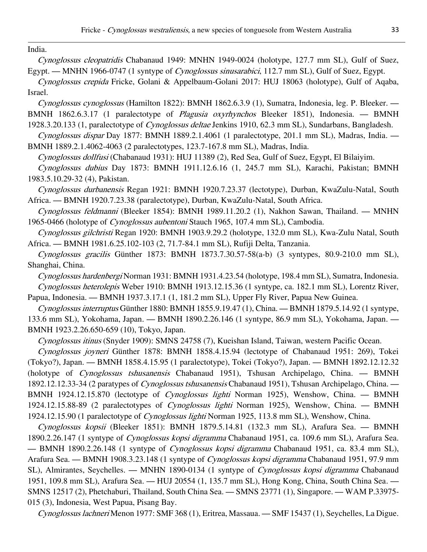India.

Cynoglossus cleopatridis Chabanaud 1949: MNHN 1949-0024 (holotype, 127.7 mm SL), Gulf of Suez, Egypt. — MNHN 1966-0747 (1 syntype of Cynoglossus sinusarabici, 112.7 mm SL), Gulf of Suez, Egypt.

Cynoglossus crepida Fricke, Golani & Appelbaum-Golani 2017: HUJ 18063 (holotype), Gulf of Aqaba, Israel.

Cynoglossus cynoglossus (Hamilton 1822): BMNH 1862.6.3.9 (1), Sumatra, Indonesia, leg. P. Bleeker. — BMNH 1862.6.3.17 (1 paralectotype of Plagusia oxyrhynchos Bleeker 1851), Indonesia. — BMNH 1928.3.20.133 (1, paralectotype of *Cynoglossus deltae* Jenkins 1910, 62.3 mm SL), Sundarbans, Bangladesh.

Cynoglossus dispar Day 1877: BMNH 1889.2.1.4061 (1 paralectotype, 201.1 mm SL), Madras, India. — BMNH 1889.2.1.4062-4063 (2 paralectotypes, 123.7-167.8 mm SL), Madras, India.

Cynoglossus dollfusi (Chabanaud 1931): HUJ 11389 (2), Red Sea, Gulf of Suez, Egypt, El Bilaiyim.

Cynoglossus dubius Day 1873: BMNH 1911.12.6.16 (1, 245.7 mm SL), Karachi, Pakistan; BMNH 1983.5.10.29-32 (4), Pakistan.

Cynoglossus durbanensis Regan 1921: BMNH 1920.7.23.37 (lectotype), Durban, KwaZulu-Natal, South Africa. — BMNH 1920.7.23.38 (paralectotype), Durban, KwaZulu-Natal, South Africa.

Cynoglossus feldmanni (Bleeker 1854): BMNH 1989.11.20.2 (1), Nakhon Sawan, Thailand. — MNHN 1965-0466 (holotype of Cynoglossus aubentoni Stauch 1965, 107.4 mm SL), Cambodia.

Cynoglossus gilchristi Regan 1920: BMNH 1903.9.29.2 (holotype, 132.0 mm SL), Kwa-Zulu Natal, South Africa. — BMNH 1981.6.25.102-103 (2, 71.7-84.1 mm SL), Rufiji Delta, Tanzania.

Cynoglossus gracilis Günther 1873: BMNH 1873.7.30.57-58(a-b) (3 syntypes, 80.9-210.0 mm SL), Shanghai, China.

Cynoglossus hardenbergi Norman 1931: BMNH 1931.4.23.54 (holotype, 198.4 mm SL), Sumatra, Indonesia. Cynoglossus heterolepis Weber 1910: BMNH 1913.12.15.36 (1 syntype, ca. 182.1 mm SL), Lorentz River, Papua, Indonesia. — BMNH 1937.3.17.1 (1, 181.2 mm SL), Upper Fly River, Papua New Guinea.

Cynoglossus interruptus Günther 1880: BMNH 1855.9.19.47 (1), China. — BMNH 1879.5.14.92 (1 syntype, 133.6 mm SL), Yokohama, Japan. — BMNH 1890.2.26.146 (1 syntype, 86.9 mm SL), Yokohama, Japan. — BMNH 1923.2.26.650-659 (10), Tokyo, Japan.

Cynoglossus itinus (Snyder 1909): SMNS 24758 (7), Kueishan Island, Taiwan, western Pacific Ocean.

Cynoglossus joyneri Günther 1878: BMNH 1858.4.15.94 (lectotype of Chabanaud 1951: 269), Tokei (Tokyo?), Japan. — BMNH 1858.4.15.95 (1 paralectotype), Tokei (Tokyo?), Japan. — BMNH 1892.12.12.32 (holotype of Cynoglossus tshusanensis Chabanaud 1951), Tshusan Archipelago, China. — BMNH 1892.12.12.33-34 (2 paratypes of Cynoglossus tshusanensis Chabanaud 1951), Tshusan Archipelago, China. — BMNH 1924.12.15.870 (lectotype of Cynoglossus lighti Norman 1925), Wenshow, China. — BMNH 1924.12.15.88-89 (2 paralectotypes of *Cynoglossus lighti* Norman 1925), Wenshow, China. — BMNH 1924.12.15.90 (1 paralectotype of Cynoglossus lighti Norman 1925, 113.8 mm SL), Wenshow, China.

Cynoglossus kopsii (Bleeker 1851): BMNH 1879.5.14.81 (132.3 mm SL), Arafura Sea. — BMNH 1890.2.26.147 (1 syntype of Cynoglossus kopsi digramma Chabanaud 1951, ca. 109.6 mm SL), Arafura Sea. — BMNH 1890.2.26.148 (1 syntype of Cynoglossus kopsi digramma Chabanaud 1951, ca. 83.4 mm SL), Arafura Sea. — BMNH 1908.3.23.148 (1 syntype of Cynoglossus kopsi digramma Chabanaud 1951, 97.9 mm SL), Almirantes, Seychelles. — MNHN 1890-0134 (1 syntype of Cynoglossus kopsi digramma Chabanaud 1951, 109.8 mm SL), Arafura Sea. — HUJ 20554 (1, 135.7 mm SL), Hong Kong, China, South China Sea. — SMNS 12517 (2), Phetchaburi, Thailand, South China Sea. — SMNS 23771 (1), Singapore. — WAM P.33975- 015 (3), Indonesia, West Papua, Pisang Bay.

Cynoglossus lachneri Menon 1977: SMF 368 (1), Eritrea, Massaua. — SMF 15437 (1), Seychelles, La Digue.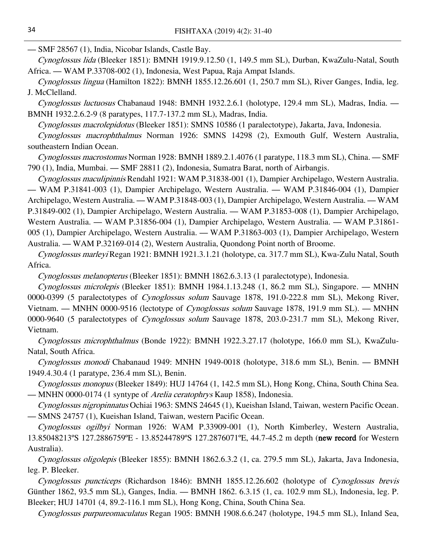— SMF 28567 (1), India, Nicobar Islands, Castle Bay.

Cynoglossus lida (Bleeker 1851): BMNH 1919.9.12.50 (1, 149.5 mm SL), Durban, KwaZulu-Natal, South Africa. — WAM P.33708-002 (1), Indonesia, West Papua, Raja Ampat Islands.

Cynoglossus lingua (Hamilton 1822): BMNH 1855.12.26.601 (1, 250.7 mm SL), River Ganges, India, leg. J. McClelland.

Cynoglossus luctuosus Chabanaud 1948: BMNH 1932.2.6.1 (holotype, 129.4 mm SL), Madras, India. — BMNH 1932.2.6.2-9 (8 paratypes, 117.7-137.2 mm SL), Madras, India.

Cynoglossus macrolepidotus (Bleeker 1851): SMNS 10586 (1 paralectotype), Jakarta, Java, Indonesia.

Cynoglossus macrophthalmus Norman 1926: SMNS 14298 (2), Exmouth Gulf, Western Australia, southeastern Indian Ocean.

Cynoglossus macrostomus Norman 1928: BMNH 1889.2.1.4076 (1 paratype, 118.3 mm SL), China. — SMF 790 (1), India, Mumbai. — SMF 28811 (2), Indonesia, Sumatra Barat, north of Airbangis.

Cynoglossus maculipinnis Rendahl 1921: WAM P.31838-001 (1), Dampier Archipelago, Western Australia. — WAM P.31841-003 (1), Dampier Archipelago, Western Australia. — WAM P.31846-004 (1), Dampier Archipelago, Western Australia. — WAM P.31848-003 (1), Dampier Archipelago, Western Australia. — WAM P.31849-002 (1), Dampier Archipelago, Western Australia. — WAM P.31853-008 (1), Dampier Archipelago, Western Australia. — WAM P.31856-004 (1), Dampier Archipelago, Western Australia. — WAM P.31861- 005 (1), Dampier Archipelago, Western Australia. — WAM P.31863-003 (1), Dampier Archipelago, Western Australia. — WAM P.32169-014 (2), Western Australia, Quondong Point north of Broome.

Cynoglossus marleyi Regan 1921: BMNH 1921.3.1.21 (holotype, ca. 317.7 mm SL), Kwa-Zulu Natal, South Africa.

Cynoglossus melanopterus (Bleeker 1851): BMNH 1862.6.3.13 (1 paralectotype), Indonesia.

Cynoglossus microlepis (Bleeker 1851): BMNH 1984.1.13.248 (1, 86.2 mm SL), Singapore. — MNHN 0000-0399 (5 paralectotypes of *Cynoglossus solum* Sauvage 1878, 191.0-222.8 mm SL), Mekong River, Vietnam. — MNHN 0000-9516 (lectotype of *Cynoglossus solum* Sauvage 1878, 191.9 mm SL). — MNHN 0000-9640 (5 paralectotypes of *Cynoglossus solum* Sauvage 1878, 203.0-231.7 mm SL), Mekong River, Vietnam.

Cynoglossus microphthalmus (Bonde 1922): BMNH 1922.3.27.17 (holotype, 166.0 mm SL), KwaZulu-Natal, South Africa.

Cynoglossus monodi Chabanaud 1949: MNHN 1949-0018 (holotype, 318.6 mm SL), Benin. — BMNH 1949.4.30.4 (1 paratype, 236.4 mm SL), Benin.

Cynoglossus monopus (Bleeker 1849): HUJ 14764 (1, 142.5 mm SL), Hong Kong, China, South China Sea. — MNHN 0000-0174 (1 syntype of *Arelia ceratophrys* Kaup 1858), Indonesia.

Cynoglossus nigropinnatus Ochiai 1963: SMNS 24645 (1), Kueishan Island, Taiwan, western Pacific Ocean. — SMNS 24757 (1), Kueishan Island, Taiwan, western Pacific Ocean.

Cynoglossus ogilbyi Norman 1926: WAM P.33909-001 (1), North Kimberley, Western Australia, 13.85048213ºS 127.2886759ºE - 13.85244789ºS 127.2876071ºE, 44.7-45.2 m depth (new record for Western Australia).

Cynoglossus oligolepis (Bleeker 1855): BMNH 1862.6.3.2 (1, ca. 279.5 mm SL), Jakarta, Java Indonesia, leg. P. Bleeker.

Cynoglossus puncticeps (Richardson 1846): BMNH 1855.12.26.602 (holotype of Cynoglossus brevis Günther 1862, 93.5 mm SL), Ganges, India. — BMNH 1862. 6.3.15 (1, ca. 102.9 mm SL), Indonesia, leg. P. Bleeker; HUJ 14701 (4, 89.2-116.1 mm SL), Hong Kong, China, South China Sea.

Cynoglossus purpureomaculatus Regan 1905: BMNH 1908.6.6.247 (holotype, 194.5 mm SL), Inland Sea,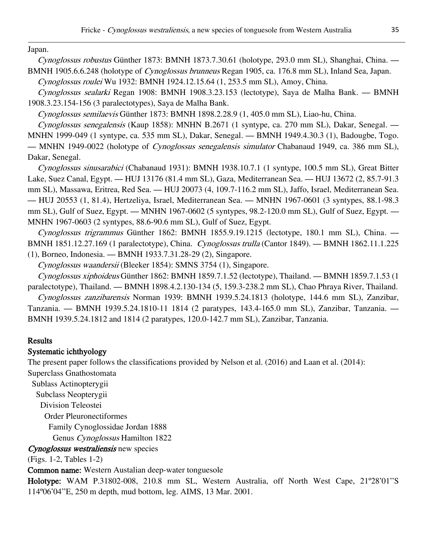Japan.

Cynoglossus robustus Günther 1873: BMNH 1873.7.30.61 (holotype, 293.0 mm SL), Shanghai, China. — BMNH 1905.6.6.248 (holotype of *Cynoglossus brunneus* Regan 1905, ca. 176.8 mm SL), Inland Sea, Japan.

Cynoglossus roulei Wu 1932: BMNH 1924.12.15.64 (1, 253.5 mm SL), Amoy, China.

Cynoglossus sealarki Regan 1908: BMNH 1908.3.23.153 (lectotype), Saya de Malha Bank. — BMNH 1908.3.23.154-156 (3 paralectotypes), Saya de Malha Bank.

Cynoglossus semilaevis Günther 1873: BMNH 1898.2.28.9 (1, 405.0 mm SL), Liao-hu, China.

Cynoglossus senegalensis (Kaup 1858): MNHN B.2671 (1 syntype, ca. 270 mm SL), Dakar, Senegal. —

MNHN 1999-049 (1 syntype, ca. 535 mm SL), Dakar, Senegal. — BMNH 1949.4.30.3 (1), Badougbe, Togo.

— MNHN 1949-0022 (holotype of Cynoglossus senegalensis simulator Chabanaud 1949, ca. 386 mm SL), Dakar, Senegal.

Cynoglossus sinusarabici (Chabanaud 1931): BMNH 1938.10.7.1 (1 syntype, 100.5 mm SL), Great Bitter Lake, Suez Canal, Egypt. — HUJ 13176 (81.4 mm SL), Gaza, Mediterranean Sea. — HUJ 13672 (2, 85.7-91.3 mm SL), Massawa, Eritrea, Red Sea. — HUJ 20073 (4, 109.7-116.2 mm SL), Jaffo, Israel, Mediterranean Sea. — HUJ 20553 (1, 81.4), Hertzeliya, Israel, Mediterranean Sea. — MNHN 1967-0601 (3 syntypes, 88.1-98.3 mm SL), Gulf of Suez, Egypt. — MNHN 1967-0602 (5 syntypes, 98.2-120.0 mm SL), Gulf of Suez, Egypt. — MNHN 1967-0603 (2 syntypes, 88.6-90.6 mm SL), Gulf of Suez, Egypt.

Cynoglossus trigrammus Günther 1862: BMNH 1855.9.19.1215 (lectotype, 180.1 mm SL), China. — BMNH 1851.12.27.169 (1 paralectotype), China. Cynoglossus trulla (Cantor 1849). — BMNH 1862.11.1.225 (1), Borneo, Indonesia. — BMNH 1933.7.31.28-29 (2), Singapore.

Cynoglossus waandersii (Bleeker 1854): SMNS 3754 (1), Singapore.

Cynoglossus xiphoideus Günther 1862: BMNH 1859.7.1.52 (lectotype), Thailand. — BMNH 1859.7.1.53 (1 paralectotype), Thailand. — BMNH 1898.4.2.130-134 (5, 159.3-238.2 mm SL), Chao Phraya River, Thailand.

Cynoglossus zanzibarensis Norman 1939: BMNH 1939.5.24.1813 (holotype, 144.6 mm SL), Zanzibar, Tanzania. — BMNH 1939.5.24.1810-11 1814 (2 paratypes, 143.4-165.0 mm SL), Zanzibar, Tanzania. — BMNH 1939.5.24.1812 and 1814 (2 paratypes, 120.0-142.7 mm SL), Zanzibar, Tanzania.

# Results

# Systematic ichthyology

The present paper follows the classifications provided by Nelson et al. (2016) and Laan et al. (2014):

Superclass Gnathostomata

Sublass Actinopterygii

Subclass Neopterygii

Division Teleostei

Order Pleuronectiformes

Family Cynoglossidae Jordan 1888

Genus Cynoglossus Hamilton 1822

Cynoglossus westraliensis new species

(Figs. 1-2, Tables 1-2)

Common name: Western Austalian deep-water tonguesole

Holotype: WAM P.31802-008, 210.8 mm SL, Western Australia, off North West Cape, 21º28'01''S 114º06'04''E, 250 m depth, mud bottom, leg. AIMS, 13 Mar. 2001.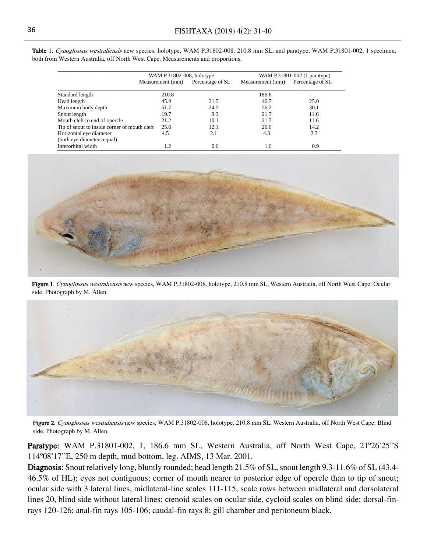|                                              | WAM P.31802-008, holotype |                  | WAM P.31801-002 (1 paratype) |                  |  |
|----------------------------------------------|---------------------------|------------------|------------------------------|------------------|--|
|                                              | Measurement (mm)          | Percentage of SL | Measurement (mm)             | Percentage of SL |  |
| Standard length                              | 210.8                     | --               | 186.6                        | --               |  |
| Head length                                  | 45.4                      | 21.5             | 46.7                         | 25.0             |  |
| Maximum body depth                           | 51.7                      | 24.5             | 56.2                         | 30.1             |  |
| Snout length                                 | 19.7                      | 9.3              | 21.7                         | 11.6             |  |
| Mouth cleft to end of opercle                | 21.2                      | 10.1             | 21.7                         | 11.6             |  |
| Tip of snout to inside corner of mouth cleft | 25.6                      | 12.1             | 26.6                         | 14.2             |  |
| Horizontal eye diameter                      | 4.5                       | 2.1              | 4.3                          | 2.3              |  |
| (both eye diameters equal)                   |                           |                  |                              |                  |  |
| Interorbital width                           | 1.2                       | 0.6              | l.6                          | 0.9              |  |

Table 1. Cynoglossus westraliensis new species, holotype, WAM P.31802-008, 210.8 mm SL, and paratype, WAM P.31801-002, 1 specimen, both from Western Australia, off North West Cape. Measurements and proportions.



Figure 1. Cynoglossus westraliensis new species, WAM P.31802-008, holotype, 210.8 mm SL, Western Australia, off North West Cape: Ocular side. Photograph by M. Allen.



Figure 2. Cynoglossus westraliensis new species, WAM P.31802-008, holotype, 210.8 mm SL, Western Australia, off North West Cape: Blind side. Photograph by M. Allen.

Paratype: WAM P.31801-002, 1, 186.6 mm SL, Western Australia, off North West Cape, 21°26'25"S 114º08'17''E, 250 m depth, mud bottom, leg. AIMS, 13 Mar. 2001.

Diagnosis: Snout relatively long, bluntly rounded; head length 21.5% of SL, snout length 9.3-11.6% of SL (43.4- 46.5% of HL); eyes not contiguous; corner of mouth nearer to posterior edge of opercle than to tip of snout; ocular side with 3 lateral lines, midlateral-line scales 111-115, scale rows between midlateral and dorsolateral lines 20, blind side without lateral lines; ctenoid scales on ocular side, cycloid scales on blind side; dorsal-finrays 120-126; anal-fin rays 105-106; caudal-fin rays 8; gill chamber and peritoneum black.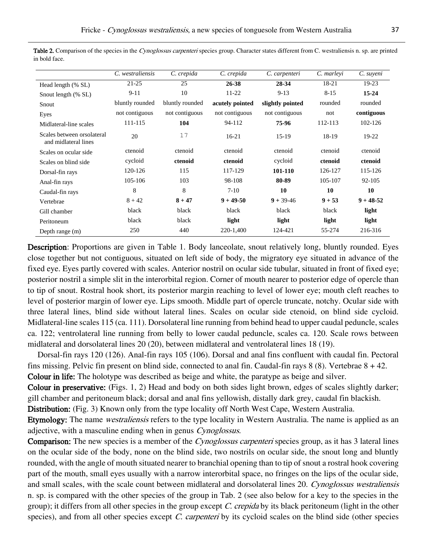|                                                    | C. westraliensis | C. crepida      | C. crepida      | C. carpenteri    | C. marleyi | C. suyeni     |  |
|----------------------------------------------------|------------------|-----------------|-----------------|------------------|------------|---------------|--|
| Head length (% SL)                                 | $21 - 25$        | 25              | 26-38           | 28-34            | 18-21      | 19-23         |  |
| Snout length (% SL)                                | $9-11$           | 10              | $11-22$         | $9 - 13$         | $8 - 15$   | $15 - 24$     |  |
| Snout                                              | bluntly rounded  | bluntly rounded | acutely pointed | slightly pointed | rounded    | rounded       |  |
| Eyes                                               | not contiguous   | not contiguous  | not contiguous  | not contiguous   | not        | contiguous    |  |
| Midlateral-line scales                             | 111-115          | 104             | 94-112          | 75-96            | 112-113    | 102-126       |  |
| Scales between orsolateral<br>and midlateral lines | 20               | 17              | $16-21$         | $15-19$          | 18-19      | $19-22$       |  |
| Scales on ocular side                              | ctenoid          | ctenoid         | ctenoid         | ctenoid          | ctenoid    | ctenoid       |  |
| Scales on blind side                               | cycloid          | ctenoid         | ctenoid         | cycloid          | ctenoid    | ctenoid       |  |
| Dorsal-fin rays                                    | 120-126          | 115             | 117-129         | 101-110          | 126-127    | 115-126       |  |
| Anal-fin rays                                      | 105-106          | 103             | 98-108          | 80-89            | 105-107    | $92 - 105$    |  |
| Caudal-fin rays                                    | 8                | 8               | $7-10$          | 10               | 10         | 10            |  |
| Vertebrae                                          | $8 + 42$         | $8 + 47$        | $9 + 49 - 50$   | $9 + 39 - 46$    | $9 + 53$   | $9 + 48 - 52$ |  |
| Gill chamber                                       | black            | black           | black           | black            | black      | light         |  |
| Peritoneum                                         | black            | black           | light           | light            | light      | light         |  |
| Depth range (m)                                    | 250              | 440             | 220-1,400       | 124-421          | 55-274     | 216-316       |  |

Table 2. Comparison of the species in the Cynoglossus carpenteri species group. Character states different from C. westraliensis n. sp. are printed in bold face.

Description: Proportions are given in Table 1. Body lanceolate, snout relatively long, bluntly rounded. Eyes close together but not contiguous, situated on left side of body, the migratory eye situated in advance of the fixed eye. Eyes partly covered with scales. Anterior nostril on ocular side tubular, situated in front of fixed eye; posterior nostril a simple slit in the interorbital region. Corner of mouth nearer to posterior edge of opercle than to tip of snout. Rostral hook short, its posterior margin reaching to level of lower eye; mouth cleft reaches to level of posterior margin of lower eye. Lips smooth. Middle part of opercle truncate, notchy. Ocular side with three lateral lines, blind side without lateral lines. Scales on ocular side ctenoid, on blind side cycloid. Midlateral-line scales 115 (ca. 111). Dorsolateral line running from behind head to upper caudal peduncle, scales ca. 122; ventrolateral line running from belly to lower caudal peduncle, scales ca. 120. Scale rows between midlateral and dorsolateral lines 20 (20), between midlateral and ventrolateral lines 18 (19).

Dorsal-fin rays 120 (126). Anal-fin rays 105 (106). Dorsal and anal fins confluent with caudal fin. Pectoral fins missing. Pelvic fin present on blind side, connected to anal fin. Caudal-fin rays  $8$  (8). Vertebrae  $8 + 42$ . Colour in life: The holotype was described as beige and white, the paratype as beige and silver.

Colour in preservative: (Figs. 1, 2) Head and body on both sides light brown, edges of scales slightly darker; gill chamber and peritoneum black; dorsal and anal fins yellowish, distally dark grey, caudal fin blackish.

Distribution: (Fig. 3) Known only from the type locality off North West Cape, Western Australia.

Etymology: The name *westraliensis* refers to the type locality in Western Australia. The name is applied as an adjective, with a masculine ending when in genus Cynoglossus.

Comparison: The new species is a member of the *Cynoglossus carpenteri* species group, as it has 3 lateral lines on the ocular side of the body, none on the blind side, two nostrils on ocular side, the snout long and bluntly rounded, with the angle of mouth situated nearer to branchial opening than to tip of snout a rostral hook covering part of the mouth, small eyes usually with a narrow interorbital space, no fringes on the lips of the ocular side, and small scales, with the scale count between midlateral and dorsolateral lines 20. Cynoglossus westraliensis n. sp. is compared with the other species of the group in Tab. 2 (see also below for a key to the species in the group); it differs from all other species in the group except C. crepida by its black peritoneum (light in the other species), and from all other species except C. carpenteri by its cycloid scales on the blind side (other species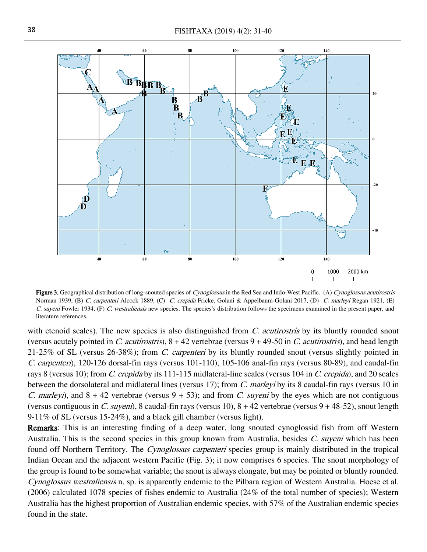

Figure 3. Geographical distribution of long-snouted species of Cynoglossus in the Red Sea and Indo-West Pacific. (A) Cynoglossus acutirostris Norman 1939, (B) C. carpenteri Alcock 1889, (C) C. crepida Fricke, Golani & Appelbaum-Golani 2017, (D) C. marleyi Regan 1921, (E) C. suyeni Fowler 1934, (F) C. westraliensis new species. The species's distribution follows the specimens examined in the present paper, and literature references.

with ctenoid scales). The new species is also distinguished from  $C$ . *acutirostris* by its bluntly rounded snout (versus acutely pointed in C. *acutirostris*),  $8 + 42$  vertebrae (versus  $9 + 49-50$  in C. *acutirostris*), and head length 21-25% of SL (versus 26-38%); from C. carpenteri by its bluntly rounded snout (versus slightly pointed in C. carpenteri), 120-126 dorsal-fin rays (versus 101-110), 105-106 anal-fin rays (versus 80-89), and caudal-fin rays 8 (versus 10); from C. crepida by its 111-115 midlateral-line scales (versus 104 in C. crepida), and 20 scales between the dorsolateral and midlateral lines (versus 17); from C. marleyi by its 8 caudal-fin rays (versus 10 in C. marleyi), and  $8 + 42$  vertebrae (versus  $9 + 53$ ); and from C. suyeni by the eyes which are not contiguous (versus contiguous in C. suyeni), 8 caudal-fin rays (versus 10),  $8 + 42$  vertebrae (versus  $9 + 48-52$ ), snout length 9-11% of SL (versus 15-24%), and a black gill chamber (versus light).

Remarks: This is an interesting finding of a deep water, long snouted cynoglossid fish from off Western Australia. This is the second species in this group known from Australia, besides C. suyeni which has been found off Northern Territory. The Cynoglossus carpenteri species group is mainly distributed in the tropical Indian Ocean and the adjacent western Pacific (Fig. 3); it now comprises 6 species. The snout morphology of the group is found to be somewhat variable; the snout is always elongate, but may be pointed or bluntly rounded. Cynoglossus westraliensis n. sp. is apparently endemic to the Pilbara region of Western Australia. Hoese et al. (2006) calculated 1078 species of fishes endemic to Australia (24% of the total number of species); Western Australia has the highest proportion of Australian endemic species, with 57% of the Australian endemic species found in the state.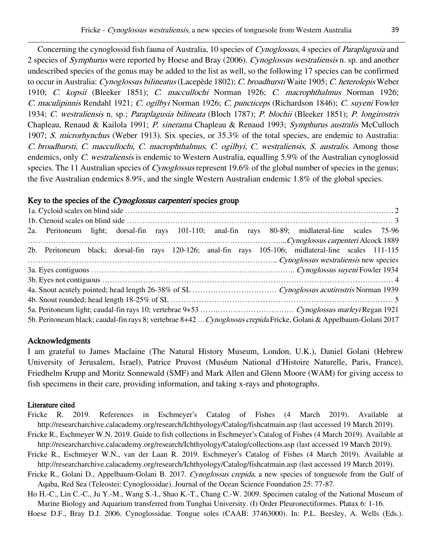Concerning the cynoglossid fish fauna of Australia, 10 species of Cynoglossus, 4 species of Paraplagusia and 2 species of *Symphurus* were reported by Hoese and Bray (2006). Cynoglossus westraliensis n. sp. and another undescribed species of the genus may be added to the list as well, so the following 17 species can be confirmed to occur in Australia: Cynoglossus bilineatus (Lacepède 1802); C. broadhursti Waite 1905; C. heterolepis Weber 1910; C. kopsii (Bleeker 1851); C. maccullochi Norman 1926; C. macrophthalmus Norman 1926; C. maculipinnis Rendahl 1921; C. ogilbyi Norman 1926; C. puncticeps (Richardson 1846); C. suyeni Fowler 1934; C. westraliensis n. sp.; Paraplagusia bilineata (Bloch 1787); P. blochii (Bleeker 1851); P. longirostris Chapleau, Renaud & Kailola 1991; P. sinerama Chapleau & Renaud 1993; Symphurus australis McCulloch 1907; S. microrhynchus (Weber 1913). Six species, or 35.3% of the total species, are endemic to Australia: C. broadhursti, C. maccullochi, C. macrophthalmus, C. ogilbyi, C. westraliensis, S. australis. Among those endemics, only C. westraliensis is endemic to Western Australia, equalling 5.9% of the Australian cynoglossid species. The 11 Australian species of *Cynoglossus* represent 19.6% of the global number of species in the genus; the five Australian endemics 8.9%, and the single Western Australian endemic 1.8% of the global species.

### Key to the species of the *Cynoglossus carpenteri* species group

|                                                                                                                     |  |  |  |  |  |  |  | 2a. Peritoneum light; dorsal-fin rays 101-110; anal-fin rays 80-89; midlateral-line scales 75-96     |  |  |
|---------------------------------------------------------------------------------------------------------------------|--|--|--|--|--|--|--|------------------------------------------------------------------------------------------------------|--|--|
|                                                                                                                     |  |  |  |  |  |  |  |                                                                                                      |  |  |
|                                                                                                                     |  |  |  |  |  |  |  | 2b. Peritoneum black; dorsal-fin rays 120-126; anal-fin rays 105-106; midlateral-line scales 111-115 |  |  |
|                                                                                                                     |  |  |  |  |  |  |  | Cynoglossus westraliensis new species                                                                |  |  |
|                                                                                                                     |  |  |  |  |  |  |  |                                                                                                      |  |  |
|                                                                                                                     |  |  |  |  |  |  |  |                                                                                                      |  |  |
|                                                                                                                     |  |  |  |  |  |  |  |                                                                                                      |  |  |
|                                                                                                                     |  |  |  |  |  |  |  |                                                                                                      |  |  |
|                                                                                                                     |  |  |  |  |  |  |  |                                                                                                      |  |  |
| 5b. Peritoneum black; caudal-fin rays 8; vertebrae 8+42  Cynoglossus crepida Fricke, Golani & Appelbaum-Golani 2017 |  |  |  |  |  |  |  |                                                                                                      |  |  |

### Acknowledgments

I am grateful to James Maclaine (The Natural History Museum, London, U.K.), Daniel Golani (Hebrew University of Jerusalem, Israel), Patrice Pruvost (Muséum National d'Histoire Naturelle, Paris, France), Friedhelm Krupp and Moritz Sonnewald (SMF) and Mark Allen and Glenn Moore (WAM) for giving access to fish specimens in their care, providing information, and taking x-rays and photographs.

### Literature cited

- Fricke R. 2019. References in Eschmeyer's Catalog of Fishes (4 March 2019). Available at http://researcharchive.calacademy.org/research/Ichthyology/Catalog/fishcatmain.asp (last accessed 19 March 2019).
- Fricke R., Eschmeyer W.N. 2019. Guide to fish collections in Eschmeyer's Catalog of Fishes (4 March 2019). Available at [http://researcharchive.calacademy.org/research/Ichthyology/Catalog/collections.asp](http://research.calacademy.org/research/Ichthyology/Catalog/collections.asp) (last accessed 19 March 2019).
- Fricke R., Eschmeyer W.N., van der Laan R. 2019. Eschmeyer's Catalog of Fishes (4 March 2019). Available at <http://researcharchive.calacademy.org/research/Ichthyology/Catalog/fishcatmain.asp> (last accessed 19 March 2019).
- Fricke R., Golani D., Appelbaum-Golani B. 2017. Cynoglossus crepida, a new species of tonguesole from the Gulf of Aqaba, Red Sea (Teleostei: Cynoglossidae). Journal of the Ocean Science Foundation 25: 77-87.
- Ho H.-C., Lin C.-C., Ju Y.-M., Wang S.-I., Shao K.-T., Chang C.-W. 2009. Specimen catalog of the National Museum of Marine Biology and Aquarium transferred from Tunghai University. (I) Order Pleuronectiformes. Platax 6: 1-16.

Hoese D.F., Bray D.J. 2006. Cynoglossidae. Tongue soles (CAAB: 37463000). In: P.L. Beesley, A. Wells (Eds.).